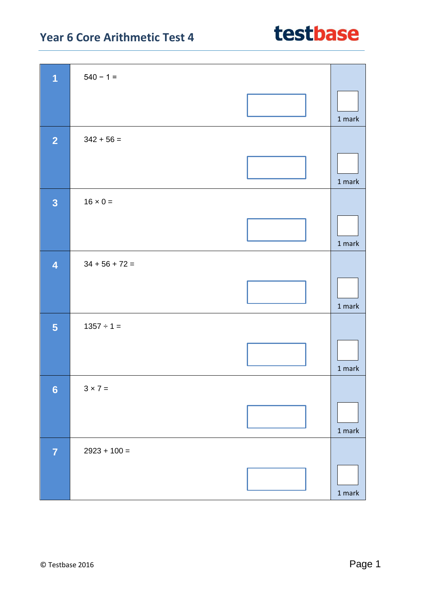| $\overline{1}$          | $540 - 1 =$      |                                   |
|-------------------------|------------------|-----------------------------------|
|                         |                  | 1 mark                            |
| $\overline{2}$          | $342 + 56 =$     |                                   |
|                         |                  | 1 mark                            |
| $\overline{\mathbf{3}}$ | $16 \times 0 =$  |                                   |
|                         |                  | 1 mark                            |
| $\overline{\mathbf{4}}$ | $34 + 56 + 72 =$ |                                   |
|                         |                  | 1 mark                            |
| 5                       | $1357 \div 1 =$  |                                   |
|                         |                  | 1 mark                            |
| $6\phantom{a}$          | $3 \times 7 =$   |                                   |
|                         |                  | $1$ mark                          |
| $\overline{7}$          | $2923 + 100 =$   |                                   |
|                         |                  | $1 \ensuremath{\, \mathrm{mark}}$ |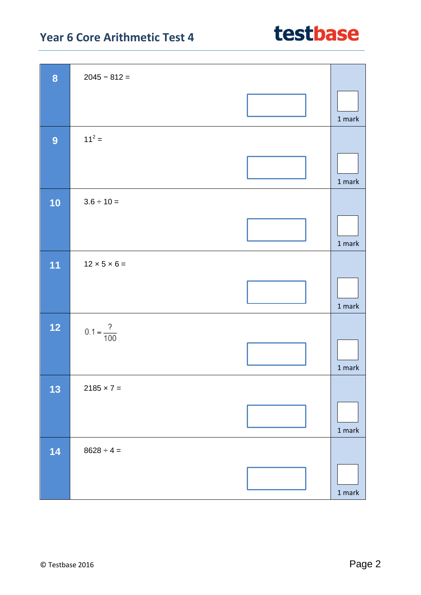| $\boldsymbol{8}$ | $2045 - 812 =$           |                                   |
|------------------|--------------------------|-----------------------------------|
|                  |                          | $1$ mark                          |
| $\overline{9}$   | $11^2 =$                 |                                   |
|                  |                          | 1 mark                            |
| 10               | $3.6 \div 10 =$          |                                   |
|                  |                          | 1 mark                            |
| 11               | $12 \times 5 \times 6 =$ |                                   |
|                  |                          | $1$ mark                          |
| 12               | $0.1 = \frac{?}{100}$    |                                   |
|                  |                          | 1 mark                            |
| 13               | $2185 \times 7 =$        |                                   |
|                  |                          | $1$ mark                          |
| 14               | $8628 \div 4 =$          |                                   |
|                  |                          | $1 \ensuremath{\, \mathrm{mark}}$ |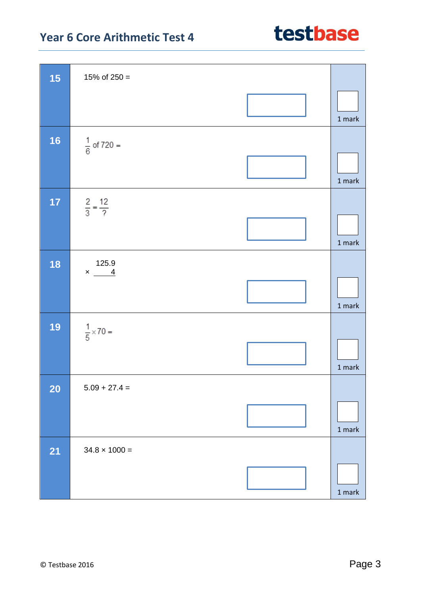| 15        | 15% of $250 =$             |                                   |
|-----------|----------------------------|-----------------------------------|
|           |                            | $1$ mark                          |
| <b>16</b> | $\frac{1}{6}$ of 720 =     |                                   |
|           |                            | 1 mark                            |
| 17        | $rac{2}{3} = \frac{12}{?}$ |                                   |
|           |                            | $1$ mark $\,$                     |
| 18        | 125.9<br>$\times$ 4        |                                   |
|           |                            | 1 mark                            |
| 19        | $\frac{1}{5}$ × 70 =       |                                   |
|           |                            | $1$ mark $\,$                     |
| <b>20</b> | $5.09 + 27.4 =$            |                                   |
|           |                            | 1 mark                            |
| <b>21</b> | $34.8 \times 1000 =$       |                                   |
|           |                            | $1 \ensuremath{\, \mathrm{mark}}$ |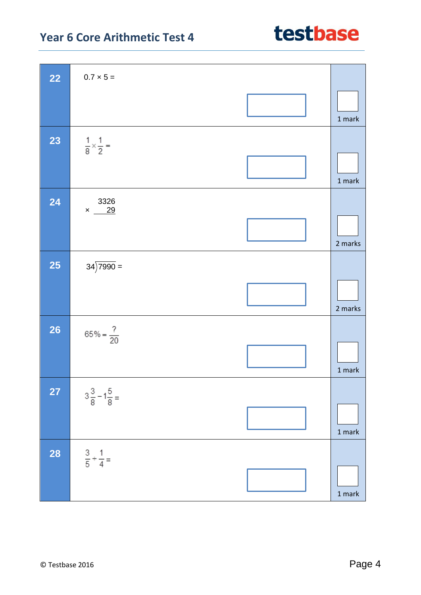| <b>22</b> | $0.7 \times 5 =$                   |                                   |
|-----------|------------------------------------|-----------------------------------|
|           |                                    | 1 mark                            |
| 23        | $\frac{1}{8} \times \frac{1}{2} =$ | 1 mark                            |
| 24        | 3326<br>$\times$ 29                | 2 marks                           |
| <b>25</b> | $34)7990 =$                        | 2 marks                           |
| 26        | $65\% = \frac{?}{20}$              | 1 mark                            |
| 27        | $3\frac{3}{8}-1\frac{5}{8}$        | 1 mark                            |
| <b>28</b> | $rac{3}{5} + \frac{1}{4} =$        | $1 \ensuremath{\, \mathrm{mark}}$ |